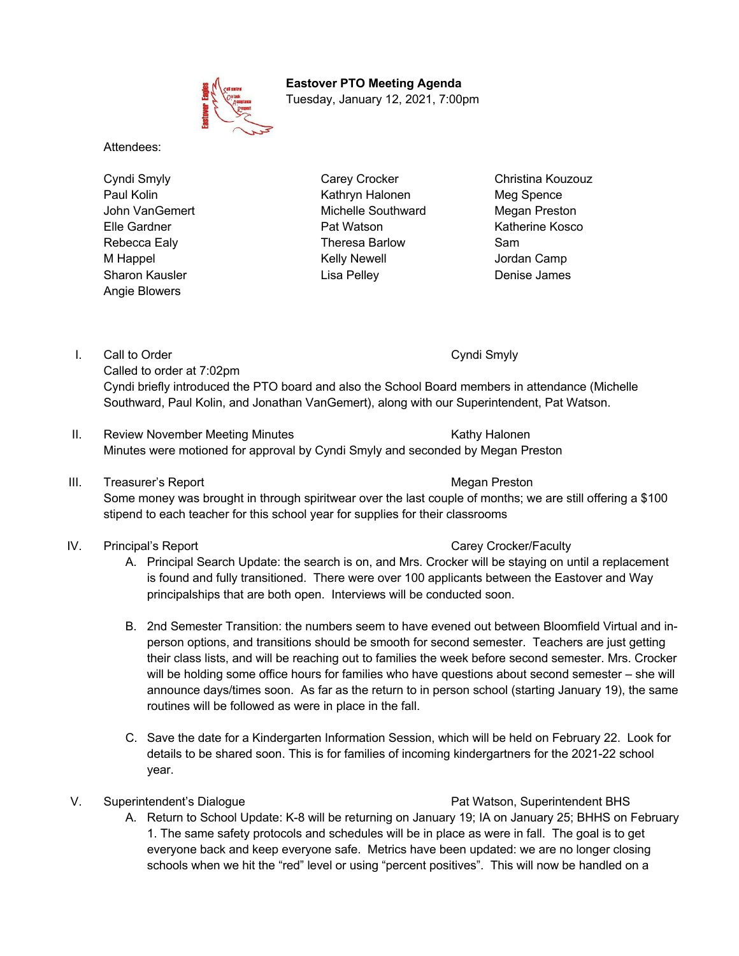

 **Eastover PTO Meeting Agenda** Tuesday, January 12, 2021, 7:00pm

Attendees:

Angie Blowers

Cyndi Smyly Carey Crocker Carey Crocker Christina Kouzouz Paul Kolin **Kathryn Halonen** Meg Spence John VanGemert Michelle Southward Megan Preston Elle Gardner Pat Watson Katherine Kosco Rebecca Ealy Theresa Barlow Sam M Happel **Manual Accord M** Kelly Newell **Camp** Jordan Camp Sharon Kausler **Lisa Pelley** Character Denise James

I. Call to Order Cyndi Smyly Cyndi Smyly Called to order at 7:02pm

Cyndi briefly introduced the PTO board and also the School Board members in attendance (Michelle Southward, Paul Kolin, and Jonathan VanGemert), along with our Superintendent, Pat Watson.

- II. Review November Meeting Minutes **Kathy Halonen** Kathy Halonen Minutes were motioned for approval by Cyndi Smyly and seconded by Megan Preston
- III. Treasurer's Report **Megan Preston** Megan Preston

Some money was brought in through spiritwear over the last couple of months; we are still offering a \$100 stipend to each teacher for this school year for supplies for their classrooms

### IV. Principal's Report Carey Crocker/Faculty

- A. Principal Search Update: the search is on, and Mrs. Crocker will be staying on until a replacement is found and fully transitioned. There were over 100 applicants between the Eastover and Way principalships that are both open. Interviews will be conducted soon.
- B. 2nd Semester Transition: the numbers seem to have evened out between Bloomfield Virtual and inperson options, and transitions should be smooth for second semester. Teachers are just getting their class lists, and will be reaching out to families the week before second semester. Mrs. Crocker will be holding some office hours for families who have questions about second semester – she will announce days/times soon. As far as the return to in person school (starting January 19), the same routines will be followed as were in place in the fall.
- C. Save the date for a Kindergarten Information Session, which will be held on February 22. Look for details to be shared soon. This is for families of incoming kindergartners for the 2021-22 school year.

## V. Superintendent's Dialogue **Pat Watson, Superintendent BHS**

A. Return to School Update: K-8 will be returning on January 19; IA on January 25; BHHS on February 1. The same safety protocols and schedules will be in place as were in fall. The goal is to get everyone back and keep everyone safe. Metrics have been updated: we are no longer closing schools when we hit the "red" level or using "percent positives". This will now be handled on a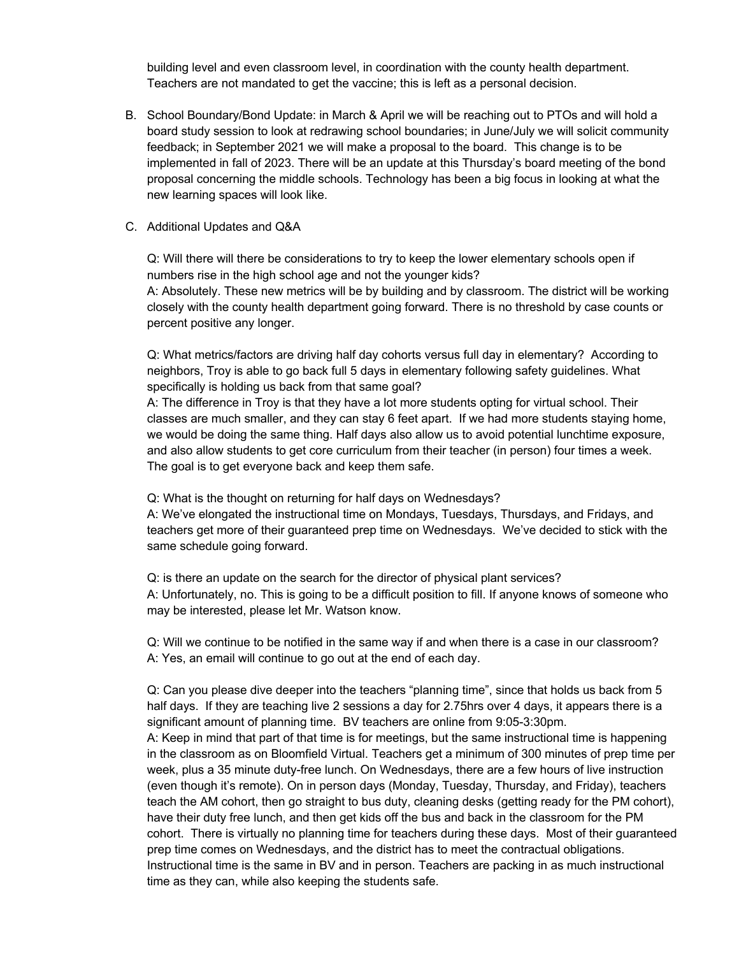building level and even classroom level, in coordination with the county health department. Teachers are not mandated to get the vaccine; this is left as a personal decision.

- B. School Boundary/Bond Update: in March & April we will be reaching out to PTOs and will hold a board study session to look at redrawing school boundaries; in June/July we will solicit community feedback; in September 2021 we will make a proposal to the board. This change is to be implemented in fall of 2023. There will be an update at this Thursday's board meeting of the bond proposal concerning the middle schools. Technology has been a big focus in looking at what the new learning spaces will look like.
- C. Additional Updates and Q&A

Q: Will there will there be considerations to try to keep the lower elementary schools open if numbers rise in the high school age and not the younger kids? A: Absolutely. These new metrics will be by building and by classroom. The district will be working

closely with the county health department going forward. There is no threshold by case counts or percent positive any longer.

Q: What metrics/factors are driving half day cohorts versus full day in elementary? According to neighbors, Troy is able to go back full 5 days in elementary following safety guidelines. What specifically is holding us back from that same goal?

A: The difference in Troy is that they have a lot more students opting for virtual school. Their classes are much smaller, and they can stay 6 feet apart. If we had more students staying home, we would be doing the same thing. Half days also allow us to avoid potential lunchtime exposure, and also allow students to get core curriculum from their teacher (in person) four times a week. The goal is to get everyone back and keep them safe.

Q: What is the thought on returning for half days on Wednesdays?

A: We've elongated the instructional time on Mondays, Tuesdays, Thursdays, and Fridays, and teachers get more of their guaranteed prep time on Wednesdays. We've decided to stick with the same schedule going forward.

Q: is there an update on the search for the director of physical plant services? A: Unfortunately, no. This is going to be a difficult position to fill. If anyone knows of someone who may be interested, please let Mr. Watson know.

Q: Will we continue to be notified in the same way if and when there is a case in our classroom? A: Yes, an email will continue to go out at the end of each day.

Q: Can you please dive deeper into the teachers "planning time", since that holds us back from 5 half days. If they are teaching live 2 sessions a day for 2.75hrs over 4 days, it appears there is a significant amount of planning time. BV teachers are online from 9:05-3:30pm.

A: Keep in mind that part of that time is for meetings, but the same instructional time is happening in the classroom as on Bloomfield Virtual. Teachers get a minimum of 300 minutes of prep time per week, plus a 35 minute duty-free lunch. On Wednesdays, there are a few hours of live instruction (even though it's remote). On in person days (Monday, Tuesday, Thursday, and Friday), teachers teach the AM cohort, then go straight to bus duty, cleaning desks (getting ready for the PM cohort), have their duty free lunch, and then get kids off the bus and back in the classroom for the PM cohort. There is virtually no planning time for teachers during these days. Most of their guaranteed prep time comes on Wednesdays, and the district has to meet the contractual obligations. Instructional time is the same in BV and in person. Teachers are packing in as much instructional time as they can, while also keeping the students safe.